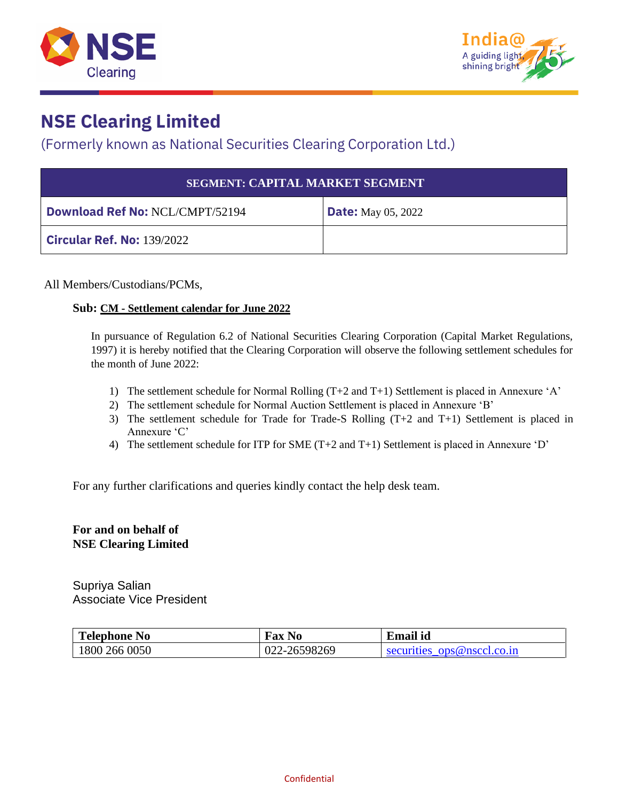



#### (Formerly known as National Securities Clearing Corporation Ltd.)

| <b>SEGMENT: CAPITAL MARKET SEGMENT</b> |                           |  |  |  |
|----------------------------------------|---------------------------|--|--|--|
| <b>Download Ref No: NCL/CMPT/52194</b> | <b>Date:</b> May 05, 2022 |  |  |  |
| <b>Circular Ref. No: 139/2022</b>      |                           |  |  |  |

All Members/Custodians/PCMs,

#### **Sub: CM - Settlement calendar for June 2022**

In pursuance of Regulation 6.2 of National Securities Clearing Corporation (Capital Market Regulations, 1997) it is hereby notified that the Clearing Corporation will observe the following settlement schedules for the month of June 2022:

- 1) The settlement schedule for Normal Rolling (T+2 and T+1) Settlement is placed in Annexure 'A'
- 2) The settlement schedule for Normal Auction Settlement is placed in Annexure 'B'
- 3) The settlement schedule for Trade for Trade-S Rolling (T+2 and T+1) Settlement is placed in Annexure 'C'
- 4) The settlement schedule for ITP for SME (T+2 and T+1) Settlement is placed in Annexure 'D'

For any further clarifications and queries kindly contact the help desk team.

#### **For and on behalf of NSE Clearing Limited**

Supriya Salian Associate Vice President

| <b>Telephone No</b> | <b>Fax No</b> | <b>Email id</b>            |
|---------------------|---------------|----------------------------|
| 1800 266 0050       | 022-26598269  | securities ops@nsccl.co.in |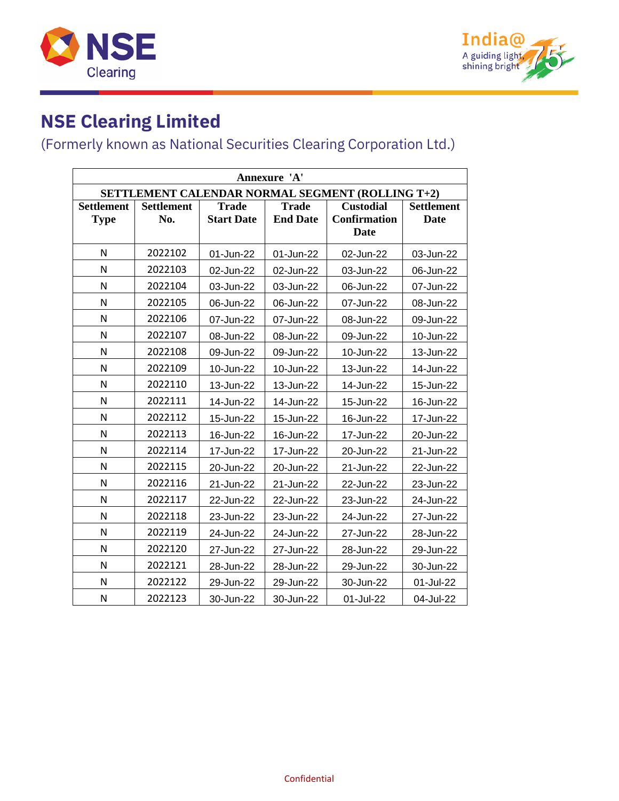



| Annexure 'A'                                     |                   |                   |                 |                     |                   |  |
|--------------------------------------------------|-------------------|-------------------|-----------------|---------------------|-------------------|--|
| SETTLEMENT CALENDAR NORMAL SEGMENT (ROLLING T+2) |                   |                   |                 |                     |                   |  |
| <b>Settlement</b>                                | <b>Settlement</b> | <b>Trade</b>      | <b>Trade</b>    | <b>Custodial</b>    | <b>Settlement</b> |  |
| <b>Type</b>                                      | No.               | <b>Start Date</b> | <b>End Date</b> | <b>Confirmation</b> | <b>Date</b>       |  |
|                                                  |                   |                   |                 | <b>Date</b>         |                   |  |
| $\mathsf{N}$                                     | 2022102           | 01-Jun-22         | 01-Jun-22       | 02-Jun-22           | 03-Jun-22         |  |
| N                                                | 2022103           | 02-Jun-22         | 02-Jun-22       | 03-Jun-22           | 06-Jun-22         |  |
| N                                                | 2022104           | 03-Jun-22         | 03-Jun-22       | 06-Jun-22           | 07-Jun-22         |  |
| N                                                | 2022105           | 06-Jun-22         | 06-Jun-22       | 07-Jun-22           | 08-Jun-22         |  |
| N                                                | 2022106           | 07-Jun-22         | 07-Jun-22       | 08-Jun-22           | 09-Jun-22         |  |
| N                                                | 2022107           | 08-Jun-22         | 08-Jun-22       | 09-Jun-22           | 10-Jun-22         |  |
| N                                                | 2022108           | 09-Jun-22         | 09-Jun-22       | 10-Jun-22           | 13-Jun-22         |  |
| N                                                | 2022109           | 10-Jun-22         | 10-Jun-22       | 13-Jun-22           | 14-Jun-22         |  |
| N                                                | 2022110           | 13-Jun-22         | 13-Jun-22       | 14-Jun-22           | 15-Jun-22         |  |
| N                                                | 2022111           | 14-Jun-22         | 14-Jun-22       | 15-Jun-22           | 16-Jun-22         |  |
| N                                                | 2022112           | 15-Jun-22         | 15-Jun-22       | 16-Jun-22           | 17-Jun-22         |  |
| $\mathsf{N}$                                     | 2022113           | 16-Jun-22         | 16-Jun-22       | 17-Jun-22           | 20-Jun-22         |  |
| N                                                | 2022114           | 17-Jun-22         | 17-Jun-22       | 20-Jun-22           | 21-Jun-22         |  |
| N                                                | 2022115           | 20-Jun-22         | 20-Jun-22       | 21-Jun-22           | 22-Jun-22         |  |
| N                                                | 2022116           | 21-Jun-22         | 21-Jun-22       | 22-Jun-22           | 23-Jun-22         |  |
| N                                                | 2022117           | 22-Jun-22         | 22-Jun-22       | 23-Jun-22           | 24-Jun-22         |  |
| N                                                | 2022118           | 23-Jun-22         | 23-Jun-22       | 24-Jun-22           | 27-Jun-22         |  |
| N                                                | 2022119           | 24-Jun-22         | 24-Jun-22       | 27-Jun-22           | 28-Jun-22         |  |
| N                                                | 2022120           | 27-Jun-22         | 27-Jun-22       | 28-Jun-22           | 29-Jun-22         |  |
| N                                                | 2022121           | 28-Jun-22         | 28-Jun-22       | 29-Jun-22           | 30-Jun-22         |  |
| N                                                | 2022122           | 29-Jun-22         | 29-Jun-22       | 30-Jun-22           | 01-Jul-22         |  |
| N                                                | 2022123           | 30-Jun-22         | 30-Jun-22       | 01-Jul-22           | 04-Jul-22         |  |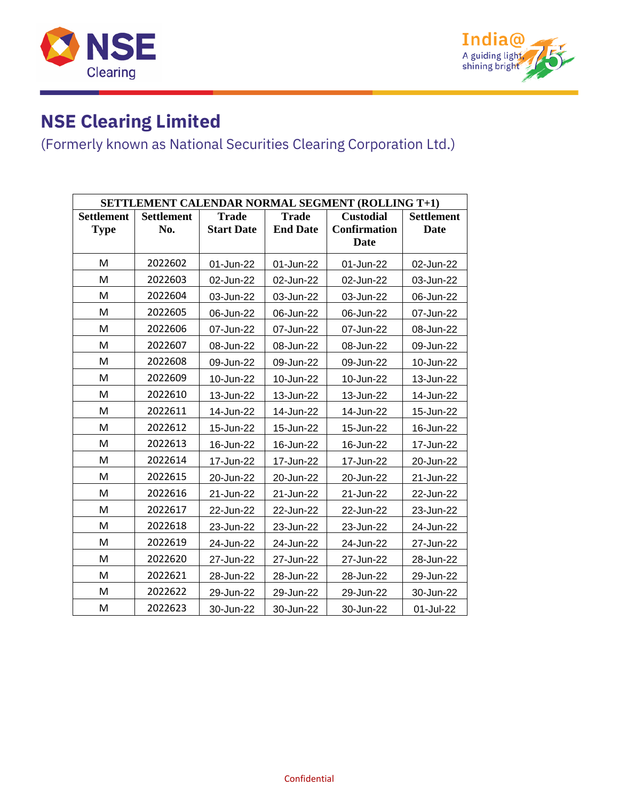



| <b>SETTLEMENT CALENDAR NORMAL SEGMENT (ROLLING T+1)</b> |                   |                   |                 |                     |                   |
|---------------------------------------------------------|-------------------|-------------------|-----------------|---------------------|-------------------|
| <b>Settlement</b>                                       | <b>Settlement</b> | <b>Trade</b>      | <b>Trade</b>    | <b>Custodial</b>    | <b>Settlement</b> |
| <b>Type</b>                                             | No.               | <b>Start Date</b> | <b>End Date</b> | <b>Confirmation</b> | <b>Date</b>       |
|                                                         |                   |                   |                 | <b>Date</b>         |                   |
| M                                                       | 2022602           | 01-Jun-22         | 01-Jun-22       | 01-Jun-22           | 02-Jun-22         |
| M                                                       | 2022603           | 02-Jun-22         | 02-Jun-22       | 02-Jun-22           | 03-Jun-22         |
| M                                                       | 2022604           | 03-Jun-22         | 03-Jun-22       | 03-Jun-22           | 06-Jun-22         |
| M                                                       | 2022605           | 06-Jun-22         | 06-Jun-22       | 06-Jun-22           | 07-Jun-22         |
| M                                                       | 2022606           | 07-Jun-22         | 07-Jun-22       | 07-Jun-22           | 08-Jun-22         |
| M                                                       | 2022607           | 08-Jun-22         | 08-Jun-22       | 08-Jun-22           | 09-Jun-22         |
| M                                                       | 2022608           | 09-Jun-22         | 09-Jun-22       | 09-Jun-22           | 10-Jun-22         |
| M                                                       | 2022609           | 10-Jun-22         | 10-Jun-22       | 10-Jun-22           | 13-Jun-22         |
| M                                                       | 2022610           | 13-Jun-22         | 13-Jun-22       | 13-Jun-22           | 14-Jun-22         |
| M                                                       | 2022611           | 14-Jun-22         | 14-Jun-22       | 14-Jun-22           | 15-Jun-22         |
| M                                                       | 2022612           | 15-Jun-22         | 15-Jun-22       | 15-Jun-22           | 16-Jun-22         |
| M                                                       | 2022613           | 16-Jun-22         | 16-Jun-22       | 16-Jun-22           | 17-Jun-22         |
| M                                                       | 2022614           | 17-Jun-22         | 17-Jun-22       | 17-Jun-22           | 20-Jun-22         |
| M                                                       | 2022615           | 20-Jun-22         | 20-Jun-22       | 20-Jun-22           | 21-Jun-22         |
| М                                                       | 2022616           | 21-Jun-22         | 21-Jun-22       | 21-Jun-22           | 22-Jun-22         |
| M                                                       | 2022617           | 22-Jun-22         | 22-Jun-22       | 22-Jun-22           | 23-Jun-22         |
| M                                                       | 2022618           | 23-Jun-22         | 23-Jun-22       | 23-Jun-22           | 24-Jun-22         |
| M                                                       | 2022619           | 24-Jun-22         | 24-Jun-22       | 24-Jun-22           | 27-Jun-22         |
| M                                                       | 2022620           | 27-Jun-22         | 27-Jun-22       | 27-Jun-22           | 28-Jun-22         |
| M                                                       | 2022621           | 28-Jun-22         | 28-Jun-22       | 28-Jun-22           | 29-Jun-22         |
| M                                                       | 2022622           | 29-Jun-22         | 29-Jun-22       | 29-Jun-22           | 30-Jun-22         |
| M                                                       | 2022623           | 30-Jun-22         | 30-Jun-22       | 30-Jun-22           | 01-Jul-22         |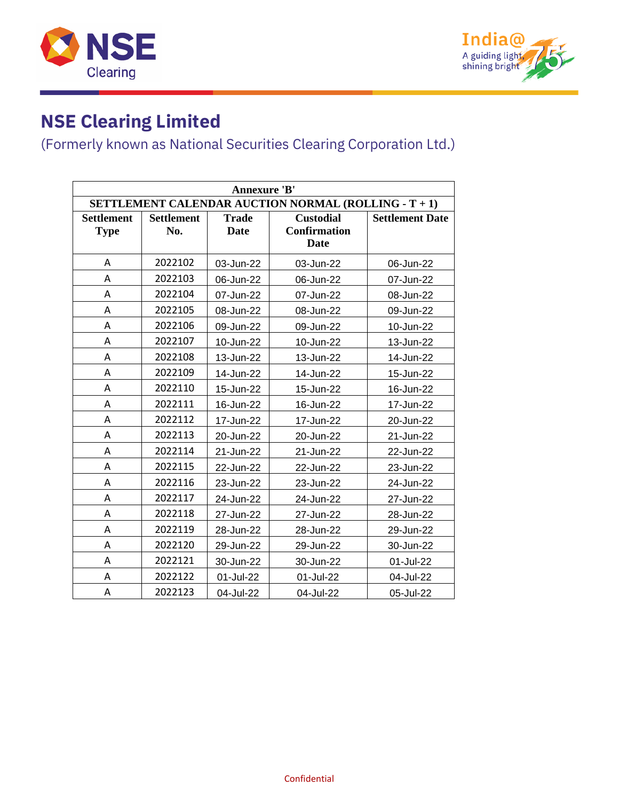



| <b>Annexure 'B'</b>                                         |                   |              |                     |                        |  |  |
|-------------------------------------------------------------|-------------------|--------------|---------------------|------------------------|--|--|
| <b>SETTLEMENT CALENDAR AUCTION NORMAL (ROLLING - T + 1)</b> |                   |              |                     |                        |  |  |
| <b>Settlement</b>                                           | <b>Settlement</b> | <b>Trade</b> | <b>Custodial</b>    | <b>Settlement Date</b> |  |  |
| <b>Type</b>                                                 | No.               | <b>Date</b>  | <b>Confirmation</b> |                        |  |  |
|                                                             |                   |              | <b>Date</b>         |                        |  |  |
| A                                                           | 2022102           | 03-Jun-22    | 03-Jun-22           | 06-Jun-22              |  |  |
| A                                                           | 2022103           | 06-Jun-22    | 06-Jun-22           | 07-Jun-22              |  |  |
| Α                                                           | 2022104           | 07-Jun-22    | 07-Jun-22           | 08-Jun-22              |  |  |
| A                                                           | 2022105           | 08-Jun-22    | 08-Jun-22           | 09-Jun-22              |  |  |
| A                                                           | 2022106           | 09-Jun-22    | 09-Jun-22           | 10-Jun-22              |  |  |
| Α                                                           | 2022107           | 10-Jun-22    | 10-Jun-22           | 13-Jun-22              |  |  |
| Α                                                           | 2022108           | 13-Jun-22    | 13-Jun-22           | 14-Jun-22              |  |  |
| A                                                           | 2022109           | 14-Jun-22    | 14-Jun-22           | 15-Jun-22              |  |  |
| A                                                           | 2022110           | 15-Jun-22    | 15-Jun-22           | 16-Jun-22              |  |  |
| Α                                                           | 2022111           | 16-Jun-22    | 16-Jun-22           | 17-Jun-22              |  |  |
| Α                                                           | 2022112           | 17-Jun-22    | 17-Jun-22           | 20-Jun-22              |  |  |
| A                                                           | 2022113           | 20-Jun-22    | 20-Jun-22           | 21-Jun-22              |  |  |
| Α                                                           | 2022114           | 21-Jun-22    | 21-Jun-22           | 22-Jun-22              |  |  |
| A                                                           | 2022115           | 22-Jun-22    | 22-Jun-22           | 23-Jun-22              |  |  |
| Α                                                           | 2022116           | 23-Jun-22    | 23-Jun-22           | 24-Jun-22              |  |  |
| Α                                                           | 2022117           | 24-Jun-22    | 24-Jun-22           | 27-Jun-22              |  |  |
| Α                                                           | 2022118           | 27-Jun-22    | 27-Jun-22           | 28-Jun-22              |  |  |
| A                                                           | 2022119           | 28-Jun-22    | 28-Jun-22           | 29-Jun-22              |  |  |
| Α                                                           | 2022120           | 29-Jun-22    | 29-Jun-22           | 30-Jun-22              |  |  |
| A                                                           | 2022121           | 30-Jun-22    | 30-Jun-22           | 01-Jul-22              |  |  |
| Α                                                           | 2022122           | 01-Jul-22    | 01-Jul-22           | 04-Jul-22              |  |  |
| Α                                                           | 2022123           | 04-Jul-22    | 04-Jul-22           | 05-Jul-22              |  |  |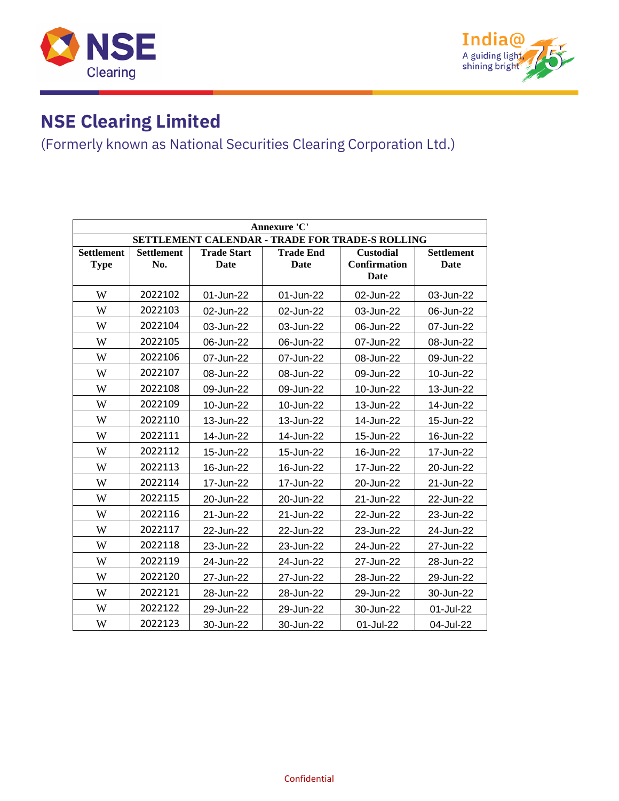



| Annexure 'C'                                    |                          |                            |                          |                                                 |                           |  |  |
|-------------------------------------------------|--------------------------|----------------------------|--------------------------|-------------------------------------------------|---------------------------|--|--|
| SETTLEMENT CALENDAR - TRADE FOR TRADE-S ROLLING |                          |                            |                          |                                                 |                           |  |  |
| <b>Settlement</b><br><b>Type</b>                | <b>Settlement</b><br>No. | <b>Trade Start</b><br>Date | <b>Trade End</b><br>Date | <b>Custodial</b><br><b>Confirmation</b><br>Date | <b>Settlement</b><br>Date |  |  |
| W                                               | 2022102                  | 01-Jun-22                  | 01-Jun-22                | 02-Jun-22                                       | 03-Jun-22                 |  |  |
| W                                               | 2022103                  | 02-Jun-22                  | 02-Jun-22                | 03-Jun-22                                       | 06-Jun-22                 |  |  |
| W                                               | 2022104                  | 03-Jun-22                  | 03-Jun-22                | 06-Jun-22                                       | 07-Jun-22                 |  |  |
| W                                               | 2022105                  | 06-Jun-22                  | 06-Jun-22                | 07-Jun-22                                       | 08-Jun-22                 |  |  |
| W                                               | 2022106                  | 07-Jun-22                  | 07-Jun-22                | 08-Jun-22                                       | 09-Jun-22                 |  |  |
| W                                               | 2022107                  | 08-Jun-22                  | 08-Jun-22                | 09-Jun-22                                       | 10-Jun-22                 |  |  |
| W                                               | 2022108                  | 09-Jun-22                  | 09-Jun-22                | 10-Jun-22                                       | 13-Jun-22                 |  |  |
| W                                               | 2022109                  | 10-Jun-22                  | 10-Jun-22                | 13-Jun-22                                       | 14-Jun-22                 |  |  |
| W                                               | 2022110                  | 13-Jun-22                  | 13-Jun-22                | 14-Jun-22                                       | 15-Jun-22                 |  |  |
| W                                               | 2022111                  | 14-Jun-22                  | 14-Jun-22                | 15-Jun-22                                       | 16-Jun-22                 |  |  |
| W                                               | 2022112                  | 15-Jun-22                  | 15-Jun-22                | 16-Jun-22                                       | 17-Jun-22                 |  |  |
| W                                               | 2022113                  | 16-Jun-22                  | 16-Jun-22                | 17-Jun-22                                       | 20-Jun-22                 |  |  |
| W                                               | 2022114                  | 17-Jun-22                  | 17-Jun-22                | 20-Jun-22                                       | 21-Jun-22                 |  |  |
| W                                               | 2022115                  | 20-Jun-22                  | 20-Jun-22                | 21-Jun-22                                       | 22-Jun-22                 |  |  |
| W                                               | 2022116                  | 21-Jun-22                  | 21-Jun-22                | 22-Jun-22                                       | 23-Jun-22                 |  |  |
| W                                               | 2022117                  | 22-Jun-22                  | 22-Jun-22                | 23-Jun-22                                       | 24-Jun-22                 |  |  |
| W                                               | 2022118                  | 23-Jun-22                  | 23-Jun-22                | 24-Jun-22                                       | 27-Jun-22                 |  |  |
| W                                               | 2022119                  | 24-Jun-22                  | 24-Jun-22                | 27-Jun-22                                       | 28-Jun-22                 |  |  |
| W                                               | 2022120                  | 27-Jun-22                  | 27-Jun-22                | 28-Jun-22                                       | 29-Jun-22                 |  |  |
| W                                               | 2022121                  | 28-Jun-22                  | 28-Jun-22                | 29-Jun-22                                       | 30-Jun-22                 |  |  |
| W                                               | 2022122                  | 29-Jun-22                  | 29-Jun-22                | 30-Jun-22                                       | 01-Jul-22                 |  |  |
| W                                               | 2022123                  | 30-Jun-22                  | 30-Jun-22                | 01-Jul-22                                       | 04-Jul-22                 |  |  |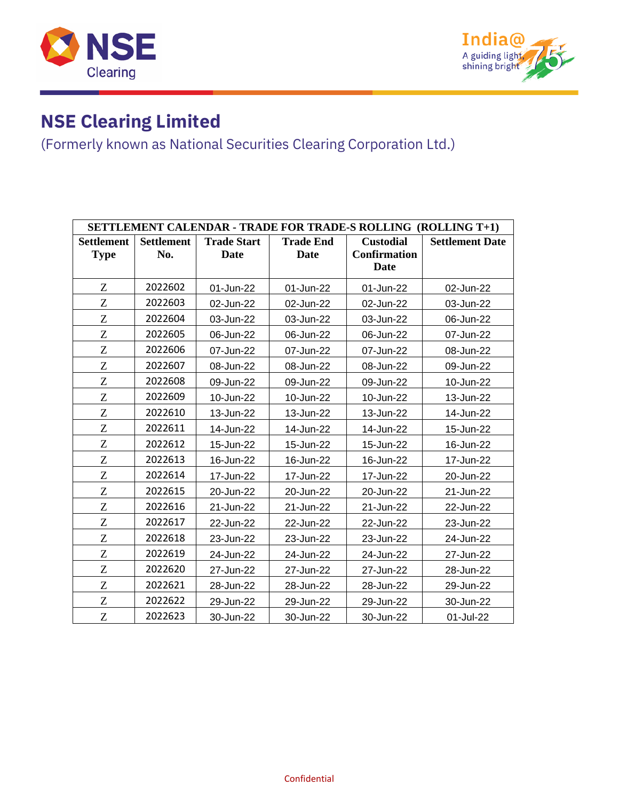



| <b>SETTLEMENT CALENDAR - TRADE FOR TRADE-S ROLLING (ROLLING T+1)</b> |                   |                    |                  |                     |                        |  |  |
|----------------------------------------------------------------------|-------------------|--------------------|------------------|---------------------|------------------------|--|--|
| <b>Settlement</b>                                                    | <b>Settlement</b> | <b>Trade Start</b> | <b>Trade End</b> | <b>Custodial</b>    | <b>Settlement Date</b> |  |  |
| <b>Type</b>                                                          | No.               | Date               | Date             | <b>Confirmation</b> |                        |  |  |
|                                                                      |                   |                    |                  | Date                |                        |  |  |
| Z                                                                    | 2022602           | 01-Jun-22          | 01-Jun-22        | 01-Jun-22           | 02-Jun-22              |  |  |
| Z                                                                    | 2022603           | 02-Jun-22          | 02-Jun-22        | 02-Jun-22           | 03-Jun-22              |  |  |
| Z                                                                    | 2022604           | 03-Jun-22          | 03-Jun-22        | 03-Jun-22           | 06-Jun-22              |  |  |
| Z                                                                    | 2022605           | 06-Jun-22          | 06-Jun-22        | 06-Jun-22           | 07-Jun-22              |  |  |
| Z                                                                    | 2022606           | 07-Jun-22          | 07-Jun-22        | 07-Jun-22           | 08-Jun-22              |  |  |
| Z                                                                    | 2022607           | 08-Jun-22          | 08-Jun-22        | 08-Jun-22           | 09-Jun-22              |  |  |
| Z                                                                    | 2022608           | 09-Jun-22          | 09-Jun-22        | 09-Jun-22           | 10-Jun-22              |  |  |
| Z                                                                    | 2022609           | 10-Jun-22          | 10-Jun-22        | 10-Jun-22           | 13-Jun-22              |  |  |
| Z                                                                    | 2022610           | 13-Jun-22          | 13-Jun-22        | 13-Jun-22           | 14-Jun-22              |  |  |
| Z                                                                    | 2022611           | 14-Jun-22          | 14-Jun-22        | 14-Jun-22           | 15-Jun-22              |  |  |
| Z                                                                    | 2022612           | 15-Jun-22          | 15-Jun-22        | 15-Jun-22           | 16-Jun-22              |  |  |
| Z                                                                    | 2022613           | 16-Jun-22          | 16-Jun-22        | 16-Jun-22           | 17-Jun-22              |  |  |
| Z                                                                    | 2022614           | 17-Jun-22          | 17-Jun-22        | 17-Jun-22           | 20-Jun-22              |  |  |
| Z                                                                    | 2022615           | 20-Jun-22          | 20-Jun-22        | 20-Jun-22           | 21-Jun-22              |  |  |
| Z                                                                    | 2022616           | 21-Jun-22          | 21-Jun-22        | 21-Jun-22           | 22-Jun-22              |  |  |
| Z                                                                    | 2022617           | 22-Jun-22          | 22-Jun-22        | 22-Jun-22           | 23-Jun-22              |  |  |
| Z                                                                    | 2022618           | 23-Jun-22          | 23-Jun-22        | 23-Jun-22           | 24-Jun-22              |  |  |
| Z                                                                    | 2022619           | 24-Jun-22          | 24-Jun-22        | 24-Jun-22           | 27-Jun-22              |  |  |
| Z                                                                    | 2022620           | 27-Jun-22          | 27-Jun-22        | 27-Jun-22           | 28-Jun-22              |  |  |
| Z                                                                    | 2022621           | 28-Jun-22          | 28-Jun-22        | 28-Jun-22           | 29-Jun-22              |  |  |
| Z                                                                    | 2022622           | 29-Jun-22          | 29-Jun-22        | 29-Jun-22           | 30-Jun-22              |  |  |
| Z                                                                    | 2022623           | 30-Jun-22          | 30-Jun-22        | 30-Jun-22           | 01-Jul-22              |  |  |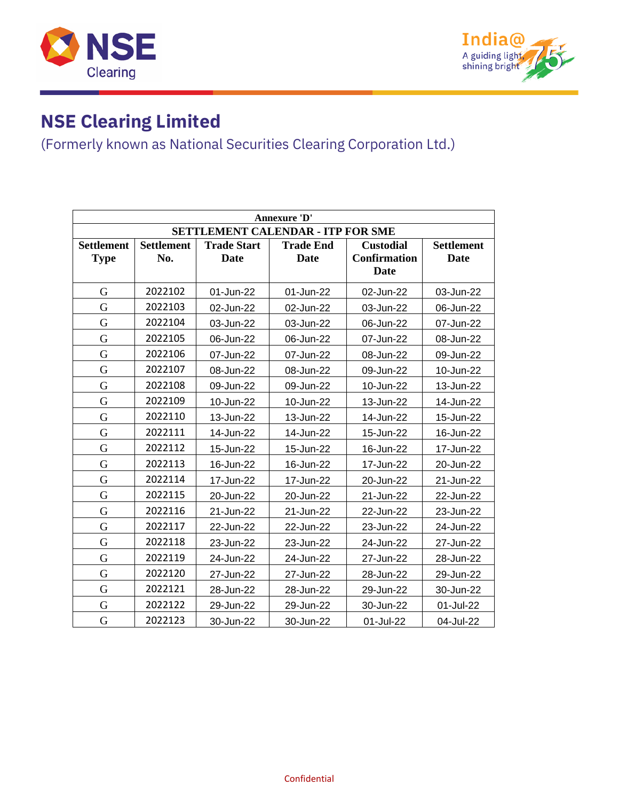



| Annexure 'D'                             |                          |                            |                                 |                                                        |                                  |  |  |
|------------------------------------------|--------------------------|----------------------------|---------------------------------|--------------------------------------------------------|----------------------------------|--|--|
| <b>SETTLEMENT CALENDAR - ITP FOR SME</b> |                          |                            |                                 |                                                        |                                  |  |  |
| <b>Settlement</b><br><b>Type</b>         | <b>Settlement</b><br>No. | <b>Trade Start</b><br>Date | <b>Trade End</b><br><b>Date</b> | <b>Custodial</b><br><b>Confirmation</b><br><b>Date</b> | <b>Settlement</b><br><b>Date</b> |  |  |
| G                                        | 2022102                  | 01-Jun-22                  | 01-Jun-22                       | 02-Jun-22                                              | 03-Jun-22                        |  |  |
| G                                        | 2022103                  | 02-Jun-22                  | 02-Jun-22                       | 03-Jun-22                                              | 06-Jun-22                        |  |  |
| G                                        | 2022104                  | 03-Jun-22                  | 03-Jun-22                       | 06-Jun-22                                              | 07-Jun-22                        |  |  |
| G                                        | 2022105                  | 06-Jun-22                  | 06-Jun-22                       | 07-Jun-22                                              | 08-Jun-22                        |  |  |
| G                                        | 2022106                  | 07-Jun-22                  | 07-Jun-22                       | 08-Jun-22                                              | 09-Jun-22                        |  |  |
| G                                        | 2022107                  | 08-Jun-22                  | 08-Jun-22                       | 09-Jun-22                                              | 10-Jun-22                        |  |  |
| G                                        | 2022108                  | 09-Jun-22                  | 09-Jun-22                       | 10-Jun-22                                              | 13-Jun-22                        |  |  |
| G                                        | 2022109                  | 10-Jun-22                  | 10-Jun-22                       | 13-Jun-22                                              | 14-Jun-22                        |  |  |
| G                                        | 2022110                  | 13-Jun-22                  | 13-Jun-22                       | 14-Jun-22                                              | 15-Jun-22                        |  |  |
| G                                        | 2022111                  | 14-Jun-22                  | 14-Jun-22                       | 15-Jun-22                                              | 16-Jun-22                        |  |  |
| G                                        | 2022112                  | 15-Jun-22                  | 15-Jun-22                       | 16-Jun-22                                              | 17-Jun-22                        |  |  |
| G                                        | 2022113                  | 16-Jun-22                  | 16-Jun-22                       | 17-Jun-22                                              | 20-Jun-22                        |  |  |
| G                                        | 2022114                  | 17-Jun-22                  | 17-Jun-22                       | 20-Jun-22                                              | 21-Jun-22                        |  |  |
| G                                        | 2022115                  | 20-Jun-22                  | 20-Jun-22                       | 21-Jun-22                                              | 22-Jun-22                        |  |  |
| G                                        | 2022116                  | 21-Jun-22                  | 21-Jun-22                       | 22-Jun-22                                              | 23-Jun-22                        |  |  |
| G                                        | 2022117                  | 22-Jun-22                  | 22-Jun-22                       | 23-Jun-22                                              | 24-Jun-22                        |  |  |
| G                                        | 2022118                  | 23-Jun-22                  | 23-Jun-22                       | 24-Jun-22                                              | 27-Jun-22                        |  |  |
| G                                        | 2022119                  | 24-Jun-22                  | 24-Jun-22                       | 27-Jun-22                                              | 28-Jun-22                        |  |  |
| G                                        | 2022120                  | 27-Jun-22                  | 27-Jun-22                       | 28-Jun-22                                              | 29-Jun-22                        |  |  |
| G                                        | 2022121                  | 28-Jun-22                  | 28-Jun-22                       | 29-Jun-22                                              | 30-Jun-22                        |  |  |
| G                                        | 2022122                  | 29-Jun-22                  | 29-Jun-22                       | 30-Jun-22                                              | 01-Jul-22                        |  |  |
| G                                        | 2022123                  | 30-Jun-22                  | 30-Jun-22                       | 01-Jul-22                                              | 04-Jul-22                        |  |  |